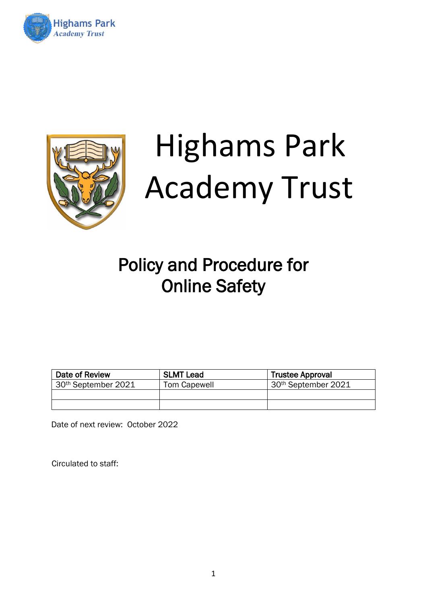



# Highams Park Academy Trust

## Policy and Procedure for Online Safety

| Date of Review      | <b>SLMT Lead</b>    | <b>Trustee Approval</b> |
|---------------------|---------------------|-------------------------|
| 30th September 2021 | <b>Tom Capewell</b> | 30th September 2021     |
|                     |                     |                         |
|                     |                     |                         |

Date of next review: October 2022

Circulated to staff: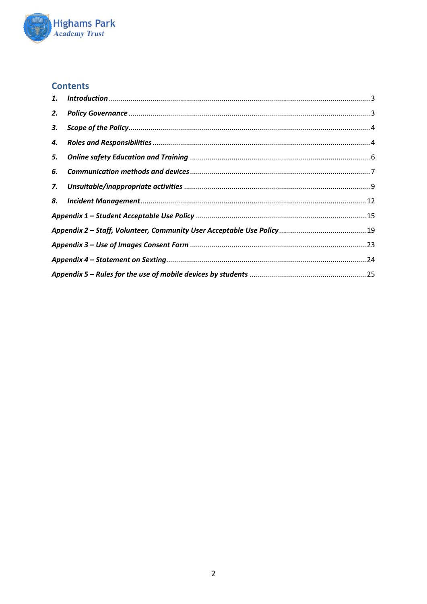

#### **Contents**

| 2. |  |  |  |  |  |
|----|--|--|--|--|--|
| 3. |  |  |  |  |  |
| 4. |  |  |  |  |  |
| 5. |  |  |  |  |  |
| 6. |  |  |  |  |  |
|    |  |  |  |  |  |
| 8. |  |  |  |  |  |
|    |  |  |  |  |  |
|    |  |  |  |  |  |
|    |  |  |  |  |  |
|    |  |  |  |  |  |
|    |  |  |  |  |  |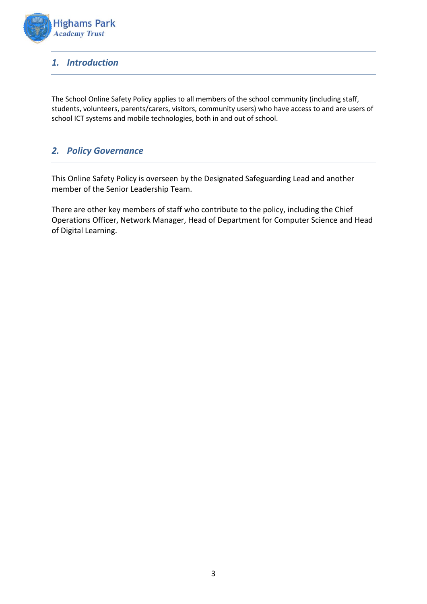

#### <span id="page-2-0"></span>*1. Introduction*

The School Online Safety Policy applies to all members of the school community (including staff, students, volunteers, parents/carers, visitors, community users) who have access to and are users of school ICT systems and mobile technologies, both in and out of school.

#### <span id="page-2-1"></span>*2. Policy Governance*

This Online Safety Policy is overseen by the Designated Safeguarding Lead and another member of the Senior Leadership Team.

There are other key members of staff who contribute to the policy, including the Chief Operations Officer, Network Manager, Head of Department for Computer Science and Head of Digital Learning.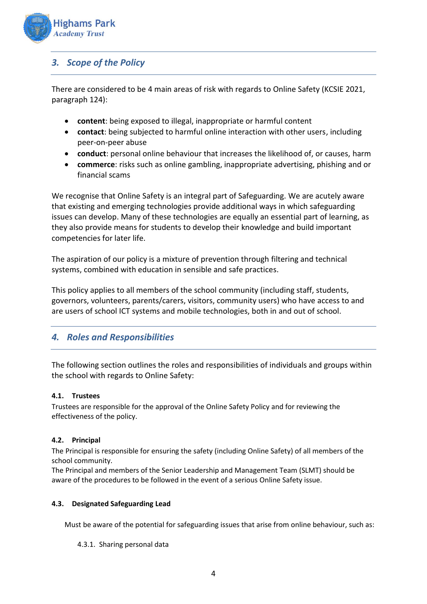

#### <span id="page-3-0"></span>*3. Scope of the Policy*

There are considered to be 4 main areas of risk with regards to Online Safety (KCSIE 2021, paragraph 124):

- **content**: being exposed to illegal, inappropriate or harmful content
- **contact**: being subjected to harmful online interaction with other users, including peer-on-peer abuse
- **conduct**: personal online behaviour that increases the likelihood of, or causes, harm
- **commerce**: risks such as online gambling, inappropriate advertising, phishing and or financial scams

We recognise that Online Safety is an integral part of Safeguarding. We are acutely aware that existing and emerging technologies provide additional ways in which safeguarding issues can develop. Many of these technologies are equally an essential part of learning, as they also provide means for students to develop their knowledge and build important competencies for later life.

The aspiration of our policy is a mixture of prevention through filtering and technical systems, combined with education in sensible and safe practices.

This policy applies to all members of the school community (including staff, students, governors, volunteers, parents/carers, visitors, community users) who have access to and are users of school ICT systems and mobile technologies, both in and out of school.

#### <span id="page-3-1"></span>*4. Roles and Responsibilities*

The following section outlines the roles and responsibilities of individuals and groups within the school with regards to Online Safety:

#### **4.1. Trustees**

Trustees are responsible for the approval of the Online Safety Policy and for reviewing the effectiveness of the policy.

#### **4.2. Principal**

The Principal is responsible for ensuring the safety (including Online Safety) of all members of the school community.

The Principal and members of the Senior Leadership and Management Team (SLMT) should be aware of the procedures to be followed in the event of a serious Online Safety issue.

#### **4.3. Designated Safeguarding Lead**

Must be aware of the potential for safeguarding issues that arise from online behaviour, such as:

4.3.1. Sharing personal data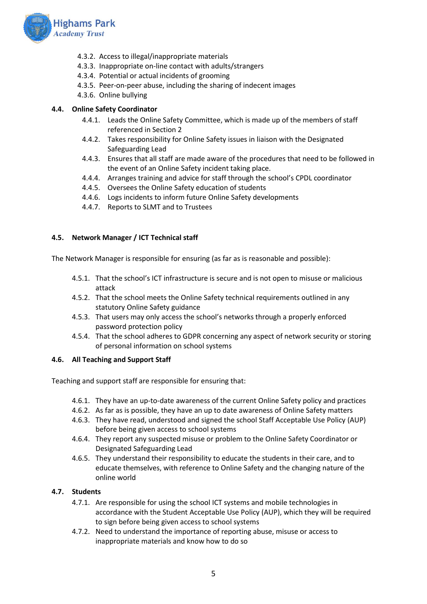

- 4.3.2. Access to illegal/inappropriate materials
- 4.3.3. Inappropriate on-line contact with adults/strangers
- 4.3.4. Potential or actual incidents of grooming
- 4.3.5. Peer-on-peer abuse, including the sharing of indecent images
- 4.3.6. Online bullying

#### **4.4. Online Safety Coordinator**

- 4.4.1. Leads the Online Safety Committee, which is made up of the members of staff referenced in Section 2
- 4.4.2. Takes responsibility for Online Safety issues in liaison with the Designated Safeguarding Lead
- 4.4.3. Ensures that all staff are made aware of the procedures that need to be followed in the event of an Online Safety incident taking place.
- 4.4.4. Arranges training and advice for staff through the school's CPDL coordinator
- 4.4.5. Oversees the Online Safety education of students
- 4.4.6. Logs incidents to inform future Online Safety developments
- 4.4.7. Reports to SLMT and to Trustees

#### **4.5. Network Manager / ICT Technical staff**

The Network Manager is responsible for ensuring (as far as is reasonable and possible):

- 4.5.1. That the school's ICT infrastructure is secure and is not open to misuse or malicious attack
- 4.5.2. That the school meets the Online Safety technical requirements outlined in any statutory Online Safety guidance
- 4.5.3. That users may only access the school's networks through a properly enforced password protection policy
- 4.5.4. That the school adheres to GDPR concerning any aspect of network security or storing of personal information on school systems

#### **4.6. All Teaching and Support Staff**

Teaching and support staff are responsible for ensuring that:

- 4.6.1. They have an up-to-date awareness of the current Online Safety policy and practices
- 4.6.2. As far as is possible, they have an up to date awareness of Online Safety matters
- 4.6.3. They have read, understood and signed the school Staff Acceptable Use Policy (AUP) before being given access to school systems
- 4.6.4. They report any suspected misuse or problem to the Online Safety Coordinator or Designated Safeguarding Lead
- 4.6.5. They understand their responsibility to educate the students in their care, and to educate themselves, with reference to Online Safety and the changing nature of the online world

#### **4.7. Students**

- 4.7.1. Are responsible for using the school ICT systems and mobile technologies in accordance with the Student Acceptable Use Policy (AUP), which they will be required to sign before being given access to school systems
- 4.7.2. Need to understand the importance of reporting abuse, misuse or access to inappropriate materials and know how to do so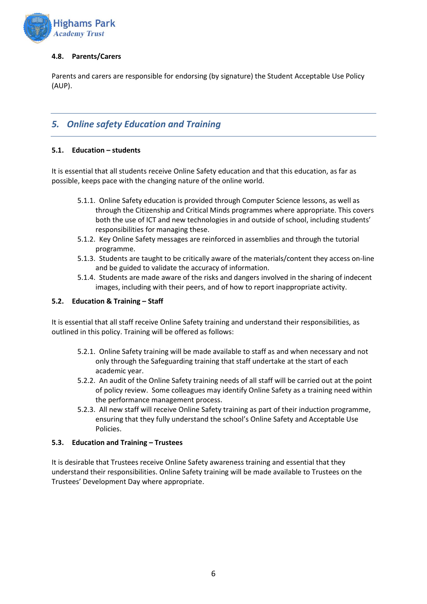

#### **4.8. Parents/Carers**

Parents and carers are responsible for endorsing (by signature) the Student Acceptable Use Policy (AUP).

#### <span id="page-5-0"></span>*5. Online safety Education and Training*

#### **5.1. Education – students**

It is essential that all students receive Online Safety education and that this education, as far as possible, keeps pace with the changing nature of the online world.

- 5.1.1. Online Safety education is provided through Computer Science lessons, as well as through the Citizenship and Critical Minds programmes where appropriate. This covers both the use of ICT and new technologies in and outside of school, including students' responsibilities for managing these.
- 5.1.2. Key Online Safety messages are reinforced in assemblies and through the tutorial programme.
- 5.1.3. Students are taught to be critically aware of the materials/content they access on-line and be guided to validate the accuracy of information.
- 5.1.4. Students are made aware of the risks and dangers involved in the sharing of indecent images, including with their peers, and of how to report inappropriate activity.

#### **5.2. Education & Training – Staff**

It is essential that all staff receive Online Safety training and understand their responsibilities, as outlined in this policy. Training will be offered as follows:

- 5.2.1. Online Safety training will be made available to staff as and when necessary and not only through the Safeguarding training that staff undertake at the start of each academic year.
- 5.2.2. An audit of the Online Safety training needs of all staff will be carried out at the point of policy review. Some colleagues may identify Online Safety as a training need within the performance management process.
- 5.2.3. All new staff will receive Online Safety training as part of their induction programme, ensuring that they fully understand the school's Online Safety and Acceptable Use Policies.

#### **5.3. Education and Training – Trustees**

It is desirable that Trustees receive Online Safety awareness training and essential that they understand their responsibilities. Online Safety training will be made available to Trustees on the Trustees' Development Day where appropriate.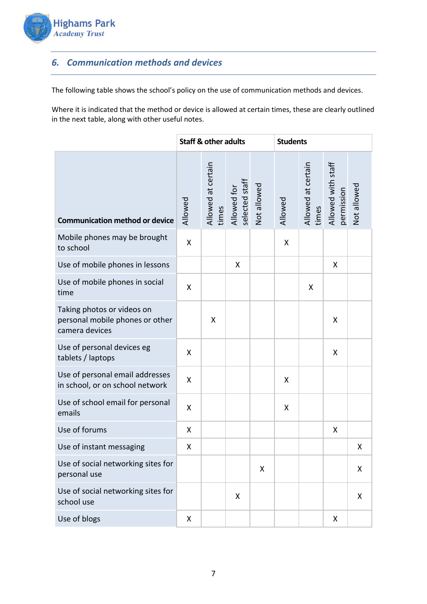

## <span id="page-6-0"></span>*6. Communication methods and devices*

The following table shows the school's policy on the use of communication methods and devices.

Where it is indicated that the method or device is allowed at certain times, these are clearly outlined in the next table, along with other useful notes.

|                                                                                 | <b>Staff &amp; other adults</b> |                             |                                              | <b>Students</b> |         |                             |                                  |             |
|---------------------------------------------------------------------------------|---------------------------------|-----------------------------|----------------------------------------------|-----------------|---------|-----------------------------|----------------------------------|-------------|
| <b>Communication method or device</b>                                           | Allowed                         | Allowed at certain<br>times | Allowed for<br>selected staff<br>Not allowed |                 | Allowed | Allowed at certain<br>times | Allowed with staff<br>permission | Not allowed |
| Mobile phones may be brought<br>to school                                       | X                               |                             |                                              |                 | Χ       |                             |                                  |             |
| Use of mobile phones in lessons                                                 |                                 |                             | X                                            |                 |         |                             | X                                |             |
| Use of mobile phones in social<br>time                                          | X                               |                             |                                              |                 |         | X                           |                                  |             |
| Taking photos or videos on<br>personal mobile phones or other<br>camera devices |                                 | X                           |                                              |                 |         |                             | Χ                                |             |
| Use of personal devices eg<br>tablets / laptops                                 | Χ                               |                             |                                              |                 |         |                             | Χ                                |             |
| Use of personal email addresses<br>in school, or on school network              | X                               |                             |                                              |                 | X       |                             |                                  |             |
| Use of school email for personal<br>emails                                      | X                               |                             |                                              |                 | X       |                             |                                  |             |
| Use of forums                                                                   | X                               |                             |                                              |                 |         |                             | X                                |             |
| Use of instant messaging                                                        | Χ                               |                             |                                              |                 |         |                             |                                  | Χ           |
| Use of social networking sites for<br>personal use                              |                                 |                             |                                              | X               |         |                             |                                  | X           |
| Use of social networking sites for<br>school use                                |                                 |                             | X                                            |                 |         |                             |                                  | X           |
| Use of blogs                                                                    | X                               |                             |                                              |                 |         |                             | X                                |             |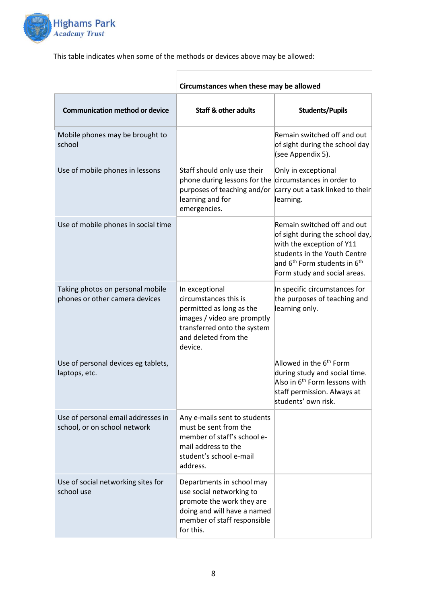

This table indicates when some of the methods or devices above may be allowed:

|                                                                    | Circumstances when these may be allowed                                                                                                                              |                                                                                                                                                                                                                     |
|--------------------------------------------------------------------|----------------------------------------------------------------------------------------------------------------------------------------------------------------------|---------------------------------------------------------------------------------------------------------------------------------------------------------------------------------------------------------------------|
| <b>Communication method or device</b>                              | <b>Staff &amp; other adults</b>                                                                                                                                      | <b>Students/Pupils</b>                                                                                                                                                                                              |
| Mobile phones may be brought to<br>school                          |                                                                                                                                                                      | Remain switched off and out<br>of sight during the school day<br>(see Appendix 5).                                                                                                                                  |
| Use of mobile phones in lessons                                    | Staff should only use their<br>phone during lessons for the<br>purposes of teaching and/or<br>learning and for<br>emergencies.                                       | Only in exceptional<br>circumstances in order to<br>carry out a task linked to their<br>learning.                                                                                                                   |
| Use of mobile phones in social time                                |                                                                                                                                                                      | Remain switched off and out<br>of sight during the school day,<br>with the exception of Y11<br>students in the Youth Centre<br>and 6 <sup>th</sup> Form students in 6 <sup>th</sup><br>Form study and social areas. |
| Taking photos on personal mobile<br>phones or other camera devices | In exceptional<br>circumstances this is<br>permitted as long as the<br>images / video are promptly<br>transferred onto the system<br>and deleted from the<br>device. | In specific circumstances for<br>the purposes of teaching and<br>learning only.                                                                                                                                     |
| Use of personal devices eg tablets,<br>laptops, etc.               |                                                                                                                                                                      | Allowed in the 6 <sup>th</sup> Form<br>during study and social time.<br>Also in 6 <sup>th</sup> Form lessons with<br>staff permission. Always at<br>students' own risk.                                             |
| Use of personal email addresses in<br>school, or on school network | Any e-mails sent to students<br>must be sent from the<br>member of staff's school e-<br>mail address to the<br>student's school e-mail<br>address.                   |                                                                                                                                                                                                                     |
| Use of social networking sites for<br>school use                   | Departments in school may<br>use social networking to<br>promote the work they are<br>doing and will have a named<br>member of staff responsible<br>for this.        |                                                                                                                                                                                                                     |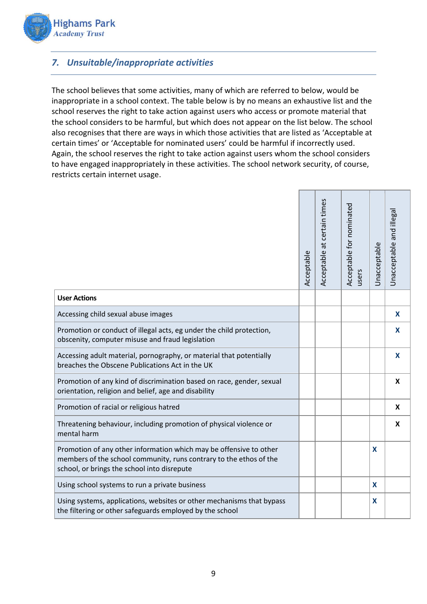

#### <span id="page-8-0"></span>*7. Unsuitable/inappropriate activities*

The school believes that some activities, many of which are referred to below, would be inappropriate in a school context. The table below is by no means an exhaustive list and the school reserves the right to take action against users who access or promote material that the school considers to be harmful, but which does not appear on the list below. The school also recognises that there are ways in which those activities that are listed as 'Acceptable at certain times' or 'Acceptable for nominated users' could be harmful if incorrectly used. Again, the school reserves the right to take action against users whom the school considers to have engaged inappropriately in these activities. The school network security, of course, restricts certain internet usage.

|                                                                                                                                                                                         | Acceptable | Acceptable at certain times | Acceptable for nominated<br>users | Unacceptable | Unacceptable and illegal |
|-----------------------------------------------------------------------------------------------------------------------------------------------------------------------------------------|------------|-----------------------------|-----------------------------------|--------------|--------------------------|
| <b>User Actions</b>                                                                                                                                                                     |            |                             |                                   |              |                          |
| Accessing child sexual abuse images                                                                                                                                                     |            |                             |                                   |              | X                        |
| Promotion or conduct of illegal acts, eg under the child protection,<br>obscenity, computer misuse and fraud legislation                                                                |            |                             |                                   |              | X                        |
| Accessing adult material, pornography, or material that potentially<br>breaches the Obscene Publications Act in the UK                                                                  |            |                             |                                   |              | X                        |
| Promotion of any kind of discrimination based on race, gender, sexual<br>orientation, religion and belief, age and disability                                                           |            |                             |                                   |              | X                        |
| Promotion of racial or religious hatred                                                                                                                                                 |            |                             |                                   |              | X                        |
| Threatening behaviour, including promotion of physical violence or<br>mental harm                                                                                                       |            |                             |                                   |              | X                        |
| Promotion of any other information which may be offensive to other<br>members of the school community, runs contrary to the ethos of the<br>school, or brings the school into disrepute |            |                             |                                   | X            |                          |
| Using school systems to run a private business                                                                                                                                          |            |                             |                                   | X            |                          |
| Using systems, applications, websites or other mechanisms that bypass<br>the filtering or other safeguards employed by the school                                                       |            |                             |                                   | X            |                          |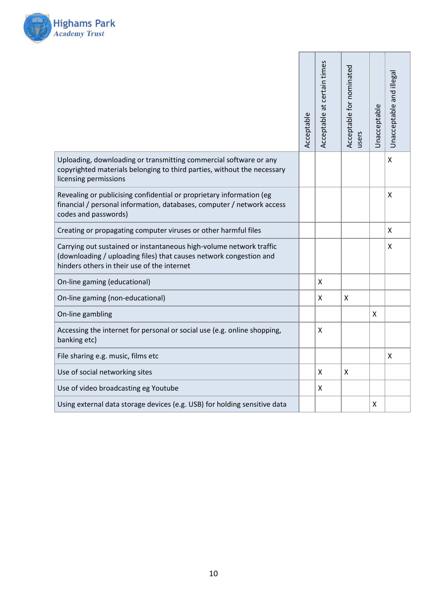

|                                                                                                                                                                                          | Acceptable | Acceptable at certain times | Acceptable for nominated<br>users | Unacceptable | Unacceptable and illegal |
|------------------------------------------------------------------------------------------------------------------------------------------------------------------------------------------|------------|-----------------------------|-----------------------------------|--------------|--------------------------|
| Uploading, downloading or transmitting commercial software or any<br>copyrighted materials belonging to third parties, without the necessary<br>licensing permissions                    |            |                             |                                   |              | X                        |
| Revealing or publicising confidential or proprietary information (eg<br>financial / personal information, databases, computer / network access<br>codes and passwords)                   |            |                             |                                   |              | X                        |
| Creating or propagating computer viruses or other harmful files                                                                                                                          |            |                             |                                   |              | X                        |
| Carrying out sustained or instantaneous high-volume network traffic<br>(downloading / uploading files) that causes network congestion and<br>hinders others in their use of the internet |            |                             |                                   |              | X                        |
| On-line gaming (educational)                                                                                                                                                             |            | X                           |                                   |              |                          |
| On-line gaming (non-educational)                                                                                                                                                         |            | X                           | x                                 |              |                          |
| On-line gambling                                                                                                                                                                         |            |                             |                                   | X            |                          |
| Accessing the internet for personal or social use (e.g. online shopping,<br>banking etc)                                                                                                 |            | X                           |                                   |              |                          |
| File sharing e.g. music, films etc                                                                                                                                                       |            |                             |                                   |              | x                        |
| Use of social networking sites                                                                                                                                                           |            | X                           | X                                 |              |                          |
| Use of video broadcasting eg Youtube                                                                                                                                                     |            | X                           |                                   |              |                          |
| Using external data storage devices (e.g. USB) for holding sensitive data                                                                                                                |            |                             |                                   | X            |                          |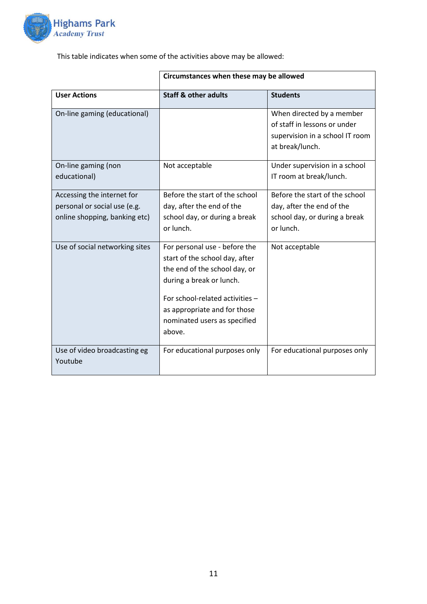

This table indicates when some of the activities above may be allowed:

|                                                                                             | Circumstances when these may be allowed                                                                                                                                                                                                   |                                                                                                                 |
|---------------------------------------------------------------------------------------------|-------------------------------------------------------------------------------------------------------------------------------------------------------------------------------------------------------------------------------------------|-----------------------------------------------------------------------------------------------------------------|
| <b>User Actions</b>                                                                         | <b>Staff &amp; other adults</b>                                                                                                                                                                                                           | <b>Students</b>                                                                                                 |
| On-line gaming (educational)                                                                |                                                                                                                                                                                                                                           | When directed by a member<br>of staff in lessons or under<br>supervision in a school IT room<br>at break/lunch. |
| On-line gaming (non<br>educational)                                                         | Not acceptable                                                                                                                                                                                                                            | Under supervision in a school<br>IT room at break/lunch.                                                        |
| Accessing the internet for<br>personal or social use (e.g.<br>online shopping, banking etc) | Before the start of the school<br>day, after the end of the<br>school day, or during a break<br>or lunch.                                                                                                                                 | Before the start of the school<br>day, after the end of the<br>school day, or during a break<br>or lunch.       |
| Use of social networking sites                                                              | For personal use - before the<br>start of the school day, after<br>the end of the school day, or<br>during a break or lunch.<br>For school-related activities -<br>as appropriate and for those<br>nominated users as specified<br>above. | Not acceptable                                                                                                  |
| Use of video broadcasting eg<br>Youtube                                                     | For educational purposes only                                                                                                                                                                                                             | For educational purposes only                                                                                   |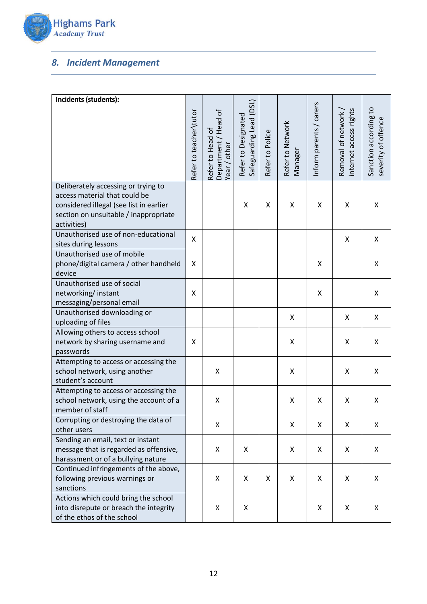

## <span id="page-11-0"></span>*8. Incident Management*

| Incidents (students):                                                            |                        |                                       |                         |                 |                  |                         |                                              |                       |
|----------------------------------------------------------------------------------|------------------------|---------------------------------------|-------------------------|-----------------|------------------|-------------------------|----------------------------------------------|-----------------------|
|                                                                                  | Refer to teacher\tutor | Head of                               | Safeguarding Lead (DSL) |                 |                  | Inform parents / carers | internet access rights<br>Removal of network | Sanction according to |
|                                                                                  |                        | ð                                     | Refer to Designated     |                 | Refer to Network |                         |                                              | severity of offence   |
|                                                                                  |                        | / other                               |                         |                 |                  |                         |                                              |                       |
|                                                                                  |                        | Refer to Head<br>Department,<br>Year/ |                         | Refer to Police | Manager          |                         |                                              |                       |
|                                                                                  |                        |                                       |                         |                 |                  |                         |                                              |                       |
| Deliberately accessing or trying to                                              |                        |                                       |                         |                 |                  |                         |                                              |                       |
| access material that could be                                                    |                        |                                       | X                       | X               | X                | X                       | X                                            | X                     |
| considered illegal (see list in earlier<br>section on unsuitable / inappropriate |                        |                                       |                         |                 |                  |                         |                                              |                       |
| activities)                                                                      |                        |                                       |                         |                 |                  |                         |                                              |                       |
| Unauthorised use of non-educational                                              |                        |                                       |                         |                 |                  |                         |                                              |                       |
| sites during lessons                                                             | X                      |                                       |                         |                 |                  |                         | X                                            | X                     |
| Unauthorised use of mobile                                                       |                        |                                       |                         |                 |                  |                         |                                              |                       |
| phone/digital camera / other handheld                                            | X                      |                                       |                         |                 |                  | X                       |                                              | X                     |
| device                                                                           |                        |                                       |                         |                 |                  |                         |                                              |                       |
| Unauthorised use of social                                                       |                        |                                       |                         |                 |                  |                         |                                              |                       |
| networking/instant                                                               | Χ                      |                                       |                         |                 |                  | X                       |                                              | X                     |
| messaging/personal email                                                         |                        |                                       |                         |                 |                  |                         |                                              |                       |
| Unauthorised downloading or                                                      |                        |                                       |                         |                 | X                |                         | X                                            | X                     |
| uploading of files                                                               |                        |                                       |                         |                 |                  |                         |                                              |                       |
| Allowing others to access school                                                 |                        |                                       |                         |                 |                  |                         |                                              |                       |
| network by sharing username and                                                  | X                      |                                       |                         |                 | X                |                         | X                                            | X                     |
| passwords                                                                        |                        |                                       |                         |                 |                  |                         |                                              |                       |
| Attempting to access or accessing the                                            |                        |                                       |                         |                 |                  |                         |                                              |                       |
| school network, using another                                                    |                        | X                                     |                         |                 | X                |                         | X                                            | X                     |
| student's account                                                                |                        |                                       |                         |                 |                  |                         |                                              |                       |
| Attempting to access or accessing the                                            |                        |                                       |                         |                 |                  |                         |                                              |                       |
| school network, using the account of a                                           |                        | X                                     |                         |                 | X                | X                       | Χ                                            | X                     |
| member of staff<br>Corrupting or destroying the data of                          |                        |                                       |                         |                 |                  |                         |                                              |                       |
| other users                                                                      |                        | X                                     |                         |                 | X                | X                       | X                                            | X                     |
| Sending an email, text or instant                                                |                        |                                       |                         |                 |                  |                         |                                              |                       |
| message that is regarded as offensive,                                           |                        | X                                     | X                       |                 | X                | X                       | X                                            | X                     |
| harassment or of a bullying nature                                               |                        |                                       |                         |                 |                  |                         |                                              |                       |
| Continued infringements of the above,                                            |                        |                                       |                         |                 |                  |                         |                                              |                       |
| following previous warnings or                                                   |                        | X                                     | X                       | X               | X                | X                       | X                                            | X                     |
| sanctions                                                                        |                        |                                       |                         |                 |                  |                         |                                              |                       |
| Actions which could bring the school                                             |                        |                                       |                         |                 |                  |                         |                                              |                       |
| into disrepute or breach the integrity                                           |                        | X                                     | X                       |                 |                  | X                       | X                                            | X                     |
| of the ethos of the school                                                       |                        |                                       |                         |                 |                  |                         |                                              |                       |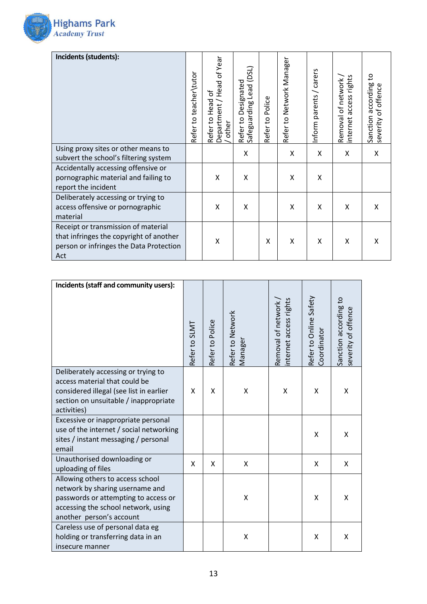

| Incidents (students):                                                                                                            | teacher\tutor<br>đ<br>Refer | Head of Year<br>$\mathfrak{b}$<br>Head<br>Department<br>S,<br>other<br>Refer | (LSC)<br>Designated<br>bea.<br>Refer to Designa<br>Safeguarding Le | Police<br>$\mathtt{S}$<br>Refer | Network Manager<br>ð<br>Refer 1 | nform parents / carers | access rights<br>Removal of network<br>internet | $\mathsf{c}_1$<br>Sanction according<br>severity of offence |
|----------------------------------------------------------------------------------------------------------------------------------|-----------------------------|------------------------------------------------------------------------------|--------------------------------------------------------------------|---------------------------------|---------------------------------|------------------------|-------------------------------------------------|-------------------------------------------------------------|
| Using proxy sites or other means to<br>subvert the school's filtering system                                                     |                             |                                                                              | X                                                                  |                                 | X                               | X                      | X                                               | X                                                           |
| Accidentally accessing offensive or<br>pornographic material and failing to<br>report the incident                               |                             | X                                                                            | X                                                                  |                                 | X                               | X                      |                                                 |                                                             |
| Deliberately accessing or trying to<br>access offensive or pornographic<br>material                                              |                             | Χ                                                                            | Χ                                                                  |                                 | X                               | X                      | X                                               | Χ                                                           |
| Receipt or transmission of material<br>that infringes the copyright of another<br>person or infringes the Data Protection<br>Act |                             | X                                                                            |                                                                    | X                               | X                               | X                      | X                                               | X                                                           |

| Incidents (staff and community users):                                                                                                                                         |               |                 |                             |                                              |                                       |                                              |
|--------------------------------------------------------------------------------------------------------------------------------------------------------------------------------|---------------|-----------------|-----------------------------|----------------------------------------------|---------------------------------------|----------------------------------------------|
|                                                                                                                                                                                | Refer to SLMT | Refer to Police | Refer to Network<br>Manager | nternet access rights<br>Removal of network, | Refer to Online Safety<br>Coordinator | Sanction according to<br>severity of offence |
| Deliberately accessing or trying to<br>access material that could be<br>considered illegal (see list in earlier<br>section on unsuitable / inappropriate                       | X             | X               | Χ                           | X                                            | X                                     | x                                            |
| activities)                                                                                                                                                                    |               |                 |                             |                                              |                                       |                                              |
| Excessive or inappropriate personal<br>use of the internet / social networking<br>sites / instant messaging / personal<br>email                                                |               |                 |                             |                                              | X                                     | X                                            |
| Unauthorised downloading or<br>uploading of files                                                                                                                              | X             | X               | X                           |                                              | X                                     | X                                            |
| Allowing others to access school<br>network by sharing username and<br>passwords or attempting to access or<br>accessing the school network, using<br>another person's account |               |                 | Χ                           |                                              | X                                     | X                                            |
| Careless use of personal data eg<br>holding or transferring data in an<br>insecure manner                                                                                      |               |                 | X                           |                                              | X                                     | X                                            |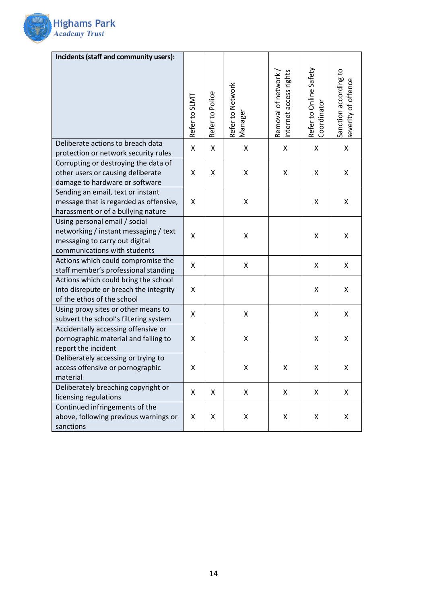

| Incidents (staff and community users):                                                                                                   |               |                 |                             |                                              |                                       |                                              |
|------------------------------------------------------------------------------------------------------------------------------------------|---------------|-----------------|-----------------------------|----------------------------------------------|---------------------------------------|----------------------------------------------|
|                                                                                                                                          | Refer to SLMT | Refer to Police | Refer to Network<br>Manager | nternet access rights<br>Removal of network, | Refer to Online Safety<br>Coordinator | Sanction according to<br>severity of offence |
| Deliberate actions to breach data<br>protection or network security rules                                                                | X             | X               | Χ                           | X                                            | X                                     | X                                            |
| Corrupting or destroying the data of<br>other users or causing deliberate<br>damage to hardware or software                              | X             | X               | Χ                           | Χ                                            | Χ                                     | X                                            |
| Sending an email, text or instant<br>message that is regarded as offensive,<br>harassment or of a bullying nature                        | X             |                 | Χ                           |                                              | Χ                                     | X                                            |
| Using personal email / social<br>networking / instant messaging / text<br>messaging to carry out digital<br>communications with students | X             |                 | Χ                           |                                              | Χ                                     | X                                            |
| Actions which could compromise the<br>staff member's professional standing                                                               | X             |                 | Χ                           |                                              | X                                     | X                                            |
| Actions which could bring the school<br>into disrepute or breach the integrity<br>of the ethos of the school                             | X             |                 |                             |                                              | Χ                                     | X                                            |
| Using proxy sites or other means to<br>subvert the school's filtering system                                                             | Χ             |                 | Χ                           |                                              | X                                     | X                                            |
| Accidentally accessing offensive or<br>pornographic material and failing to<br>report the incident                                       | X             |                 | $\pmb{\mathsf{X}}$          |                                              | Χ                                     | X                                            |
| Deliberately accessing or trying to<br>access offensive or pornographic<br>material                                                      | X             |                 | Χ                           | Χ                                            | Χ                                     | Χ                                            |
| Deliberately breaching copyright or<br>licensing regulations                                                                             | X             | X               | X                           | X                                            | X                                     | X                                            |
| Continued infringements of the<br>above, following previous warnings or<br>sanctions                                                     | X             | X               | Χ                           | X                                            | X                                     | X                                            |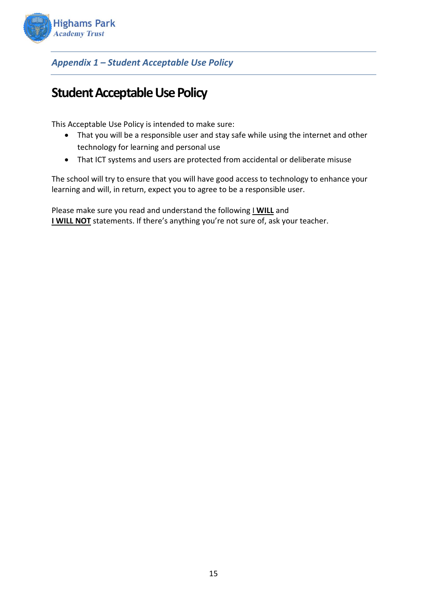

<span id="page-14-0"></span>*Appendix 1 – Student Acceptable Use Policy*

## **Student Acceptable Use Policy**

This Acceptable Use Policy is intended to make sure:

- That you will be a responsible user and stay safe while using the internet and other technology for learning and personal use
- That ICT systems and users are protected from accidental or deliberate misuse

The school will try to ensure that you will have good access to technology to enhance your learning and will, in return, expect you to agree to be a responsible user.

Please make sure you read and understand the following I **WILL** and **I WILL NOT** statements. If there's anything you're not sure of, ask your teacher.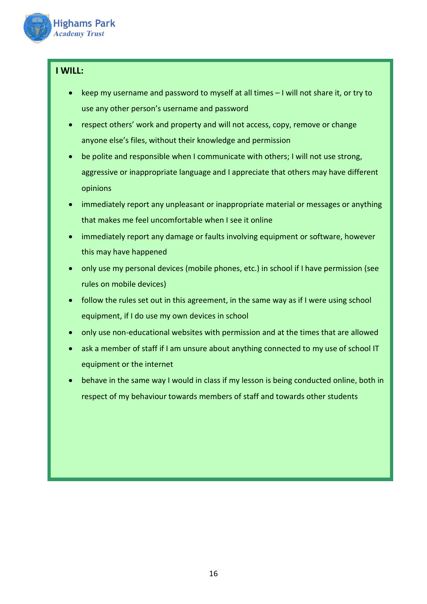

#### **I WILL:**

- keep my username and password to myself at all times I will not share it, or try to use any other person's username and password
- respect others' work and property and will not access, copy, remove or change anyone else's files, without their knowledge and permission
- be polite and responsible when I communicate with others; I will not use strong, aggressive or inappropriate language and I appreciate that others may have different opinions
- immediately report any unpleasant or inappropriate material or messages or anything that makes me feel uncomfortable when I see it online
- immediately report any damage or faults involving equipment or software, however this may have happened
- only use my personal devices (mobile phones, etc.) in school if I have permission (see rules on mobile devices)
- follow the rules set out in this agreement, in the same way as if I were using school equipment, if I do use my own devices in school
- only use non-educational websites with permission and at the times that are allowed
- ask a member of staff if I am unsure about anything connected to my use of school IT equipment or the internet
- behave in the same way I would in class if my lesson is being conducted online, both in respect of my behaviour towards members of staff and towards other students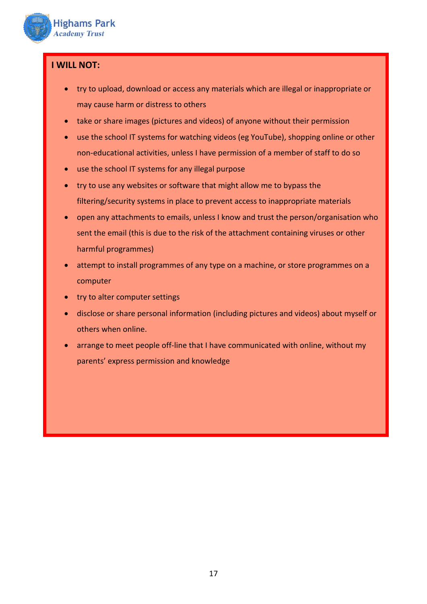

#### **I WILL NOT:**

- try to upload, download or access any materials which are illegal or inappropriate or may cause harm or distress to others
- take or share images (pictures and videos) of anyone without their permission
- use the school IT systems for watching videos (eg YouTube), shopping online or other non-educational activities, unless I have permission of a member of staff to do so
- use the school IT systems for any illegal purpose
- try to use any websites or software that might allow me to bypass the filtering/security systems in place to prevent access to inappropriate materials
- open any attachments to emails, unless I know and trust the person/organisation who sent the email (this is due to the risk of the attachment containing viruses or other harmful programmes)
- attempt to install programmes of any type on a machine, or store programmes on a computer
- try to alter computer settings
- disclose or share personal information (including pictures and videos) about myself or others when online.
- arrange to meet people off-line that I have communicated with online, without my parents' express permission and knowledge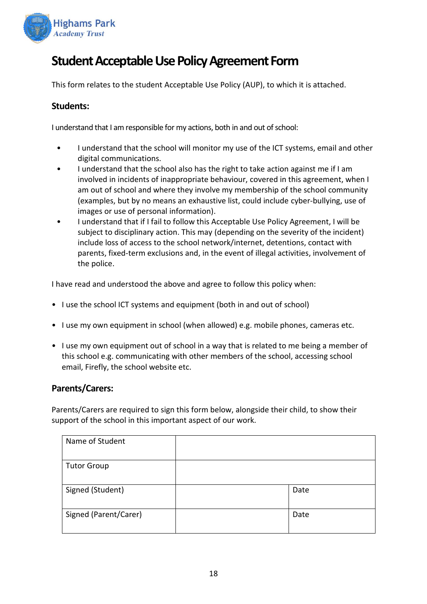

## **Student Acceptable Use Policy Agreement Form**

This form relates to the student Acceptable Use Policy (AUP), to which it is attached.

#### **Students:**

I understand that I am responsible for my actions, both in and out of school:

- I understand that the school will monitor my use of the ICT systems, email and other digital communications.
- I understand that the school also has the right to take action against me if I am involved in incidents of inappropriate behaviour, covered in this agreement, when I am out of school and where they involve my membership of the school community (examples, but by no means an exhaustive list, could include cyber-bullying, use of images or use of personal information).
- I understand that if I fail to follow this Acceptable Use Policy Agreement, I will be subject to disciplinary action. This may (depending on the severity of the incident) include loss of access to the school network/internet, detentions, contact with parents, fixed-term exclusions and, in the event of illegal activities, involvement of the police.

I have read and understood the above and agree to follow this policy when:

- I use the school ICT systems and equipment (both in and out of school)
- I use my own equipment in school (when allowed) e.g. mobile phones, cameras etc.
- I use my own equipment out of school in a way that is related to me being a member of this school e.g. communicating with other members of the school, accessing school email, Firefly, the school website etc.

#### **Parents/Carers:**

Parents/Carers are required to sign this form below, alongside their child, to show their support of the school in this important aspect of our work.

| Name of Student       |      |
|-----------------------|------|
| <b>Tutor Group</b>    |      |
| Signed (Student)      | Date |
| Signed (Parent/Carer) | Date |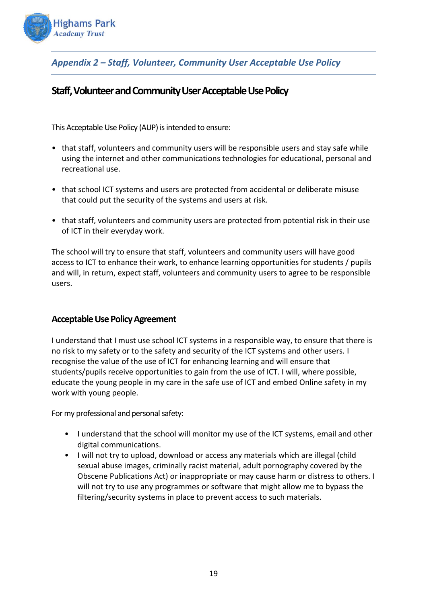

<span id="page-18-0"></span>*Appendix 2 – Staff, Volunteer, Community User Acceptable Use Policy*

## **Staff, Volunteer and Community User Acceptable Use Policy**

This Acceptable Use Policy (AUP) is intended to ensure:

- that staff, volunteers and community users will be responsible users and stay safe while using the internet and other communications technologies for educational, personal and recreational use.
- that school ICT systems and users are protected from accidental or deliberate misuse that could put the security of the systems and users at risk.
- that staff, volunteers and community users are protected from potential risk in their use of ICT in their everyday work.

The school will try to ensure that staff, volunteers and community users will have good access to ICT to enhance their work, to enhance learning opportunities for students / pupils and will, in return, expect staff, volunteers and community users to agree to be responsible users.

#### **Acceptable Use Policy Agreement**

I understand that I must use school ICT systems in a responsible way, to ensure that there is no risk to my safety or to the safety and security of the ICT systems and other users. I recognise the value of the use of ICT for enhancing learning and will ensure that students/pupils receive opportunities to gain from the use of ICT. I will, where possible, educate the young people in my care in the safe use of ICT and embed Online safety in my work with young people.

For my professional and personal safety:

- I understand that the school will monitor my use of the ICT systems, email and other digital communications.
- I will not try to upload, download or access any materials which are illegal (child sexual abuse images, criminally racist material, adult pornography covered by the Obscene Publications Act) or inappropriate or may cause harm or distress to others. I will not try to use any programmes or software that might allow me to bypass the filtering/security systems in place to prevent access to such materials.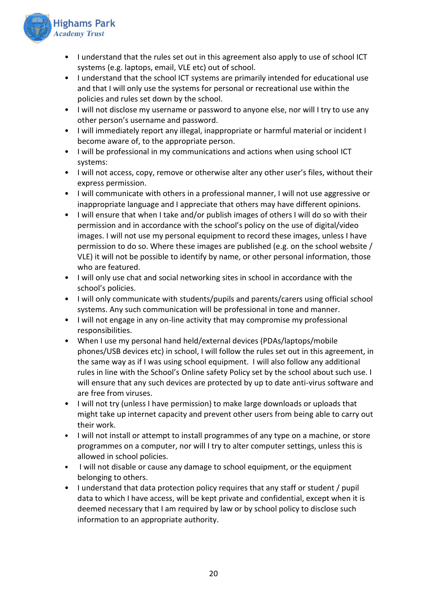

- I understand that the rules set out in this agreement also apply to use of school ICT systems (e.g. laptops, email, VLE etc) out of school.
- I understand that the school ICT systems are primarily intended for educational use and that I will only use the systems for personal or recreational use within the policies and rules set down by the school.
- I will not disclose my username or password to anyone else, nor will I try to use any other person's username and password.
- I will immediately report any illegal, inappropriate or harmful material or incident I become aware of, to the appropriate person.
- I will be professional in my communications and actions when using school ICT systems:
- I will not access, copy, remove or otherwise alter any other user's files, without their express permission.
- I will communicate with others in a professional manner, I will not use aggressive or inappropriate language and I appreciate that others may have different opinions.
- I will ensure that when I take and/or publish images of others I will do so with their permission and in accordance with the school's policy on the use of digital/video images. I will not use my personal equipment to record these images, unless I have permission to do so. Where these images are published (e.g. on the school website / VLE) it will not be possible to identify by name, or other personal information, those who are featured.
- I will only use chat and social networking sites in school in accordance with the school's policies.
- I will only communicate with students/pupils and parents/carers using official school systems. Any such communication will be professional in tone and manner.
- I will not engage in any on-line activity that may compromise my professional responsibilities.
- When I use my personal hand held/external devices (PDAs/laptops/mobile phones/USB devices etc) in school, I will follow the rules set out in this agreement, in the same way as if I was using school equipment. I will also follow any additional rules in line with the School's Online safety Policy set by the school about such use. I will ensure that any such devices are protected by up to date anti-virus software and are free from viruses.
- I will not try (unless I have permission) to make large downloads or uploads that might take up internet capacity and prevent other users from being able to carry out their work.
- I will not install or attempt to install programmes of any type on a machine, or store programmes on a computer, nor will I try to alter computer settings, unless this is allowed in school policies.
- I will not disable or cause any damage to school equipment, or the equipment belonging to others.
- I understand that data protection policy requires that any staff or student / pupil data to which I have access, will be kept private and confidential, except when it is deemed necessary that I am required by law or by school policy to disclose such information to an appropriate authority.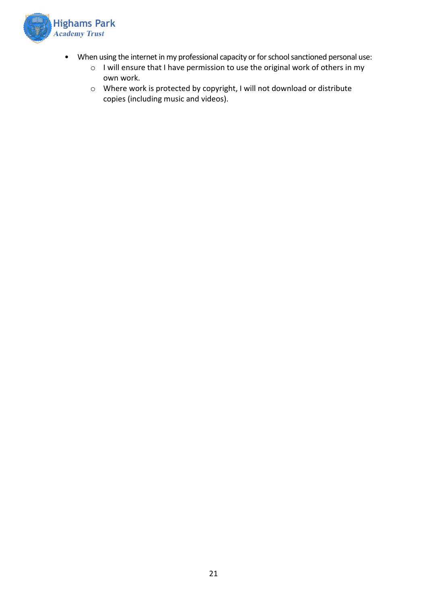

- When using the internet in my professional capacity or for school sanctioned personal use:
	- o I will ensure that I have permission to use the original work of others in my own work.
	- o Where work is protected by copyright, I will not download or distribute copies (including music and videos).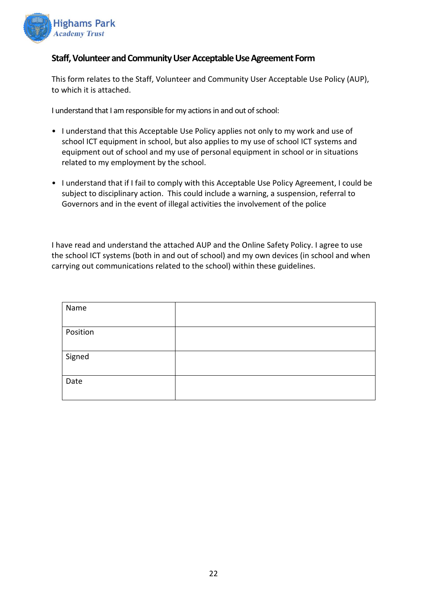

#### **Staff, Volunteer and Community User Acceptable Use Agreement Form**

This form relates to the Staff, Volunteer and Community User Acceptable Use Policy (AUP), to which it is attached.

I understand that I am responsible for my actions in and out of school:

- I understand that this Acceptable Use Policy applies not only to my work and use of school ICT equipment in school, but also applies to my use of school ICT systems and equipment out of school and my use of personal equipment in school or in situations related to my employment by the school.
- I understand that if I fail to comply with this Acceptable Use Policy Agreement, I could be subject to disciplinary action. This could include a warning, a suspension, referral to Governors and in the event of illegal activities the involvement of the police

I have read and understand the attached AUP and the Online Safety Policy. I agree to use the school ICT systems (both in and out of school) and my own devices (in school and when carrying out communications related to the school) within these guidelines.

| Name     |  |
|----------|--|
| Position |  |
| Signed   |  |
| Date     |  |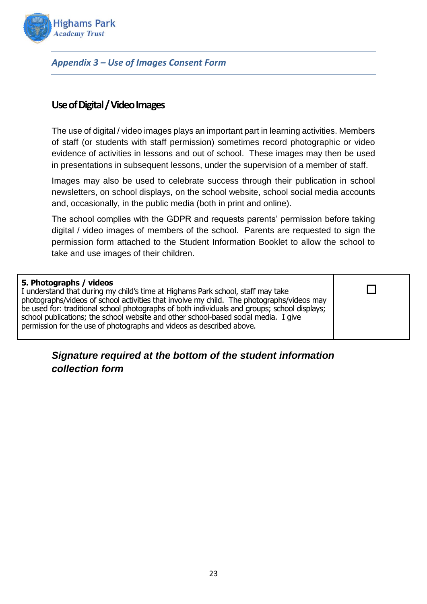

#### <span id="page-22-0"></span>*Appendix 3 – Use of Images Consent Form*

## **Use of Digital / Video Images**

The use of digital / video images plays an important part in learning activities. Members of staff (or students with staff permission) sometimes record photographic or video evidence of activities in lessons and out of school. These images may then be used in presentations in subsequent lessons, under the supervision of a member of staff.

Images may also be used to celebrate success through their publication in school newsletters, on school displays, on the school website, school social media accounts and, occasionally, in the public media (both in print and online).

The school complies with the GDPR and requests parents' permission before taking digital / video images of members of the school. Parents are requested to sign the permission form attached to the Student Information Booklet to allow the school to take and use images of their children.

 $\Box$ 

#### **5. Photographs / videos**

I understand that during my child's time at Highams Park school, staff may take photographs/videos of school activities that involve my child. The photographs/videos may be used for: traditional school photographs of both individuals and groups; school displays; school publications; the school website and other school-based social media. I give permission for the use of photographs and videos as described above.

## *Signature required at the bottom of the student information collection form*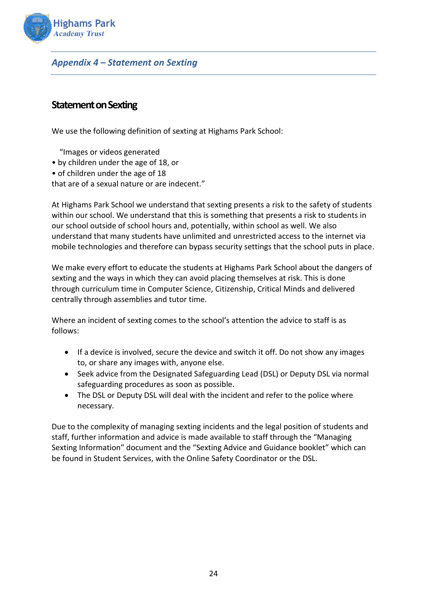

#### <span id="page-23-0"></span>*Appendix 4 – Statement on Sexting*

#### **Statement on Sexting**

We use the following definition of sexting at Highams Park School:

"Images or videos generated

- by children under the age of 18, or
- of children under the age of 18

that are of a sexual nature or are indecent."

At Highams Park School we understand that sexting presents a risk to the safety of students within our school. We understand that this is something that presents a risk to students in our school outside of school hours and, potentially, within school as well. We also understand that many students have unlimited and unrestricted access to the internet via mobile technologies and therefore can bypass security settings that the school puts in place.

We make every effort to educate the students at Highams Park School about the dangers of sexting and the ways in which they can avoid placing themselves at risk. This is done through curriculum time in Computer Science, Citizenship, Critical Minds and delivered centrally through assemblies and tutor time.

Where an incident of sexting comes to the school's attention the advice to staff is as follows:

- If a device is involved, secure the device and switch it off. Do not show any images to, or share any images with, anyone else.
- Seek advice from the Designated Safeguarding Lead (DSL) or Deputy DSL via normal safeguarding procedures as soon as possible.
- The DSL or Deputy DSL will deal with the incident and refer to the police where necessary.

Due to the complexity of managing sexting incidents and the legal position of students and staff, further information and advice is made available to staff through the "Managing Sexting Information" document and the "Sexting Advice and Guidance booklet" which can be found in Student Services, with the Online Safety Coordinator or the DSL.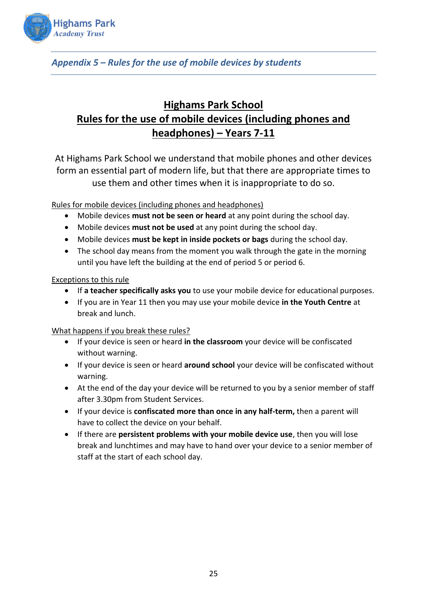

<span id="page-24-0"></span>*Appendix 5 – Rules for the use of mobile devices by students*

## **Highams Park School Rules for the use of mobile devices (including phones and headphones) – Years 7-11**

At Highams Park School we understand that mobile phones and other devices form an essential part of modern life, but that there are appropriate times to use them and other times when it is inappropriate to do so.

Rules for mobile devices (including phones and headphones)

- Mobile devices **must not be seen or heard** at any point during the school day.
- Mobile devices **must not be used** at any point during the school day.
- Mobile devices **must be kept in inside pockets or bags** during the school day.
- The school day means from the moment you walk through the gate in the morning until you have left the building at the end of period 5 or period 6.

Exceptions to this rule

- If **a teacher specifically asks you** to use your mobile device for educational purposes.
- If you are in Year 11 then you may use your mobile device **in the Youth Centre** at break and lunch.

What happens if you break these rules?

- If your device is seen or heard **in the classroom** your device will be confiscated without warning.
- If your device is seen or heard **around school** your device will be confiscated without warning.
- At the end of the day your device will be returned to you by a senior member of staff after 3.30pm from Student Services.
- If your device is **confiscated more than once in any half-term,** then a parent will have to collect the device on your behalf.
- If there are **persistent problems with your mobile device use**, then you will lose break and lunchtimes and may have to hand over your device to a senior member of staff at the start of each school day.